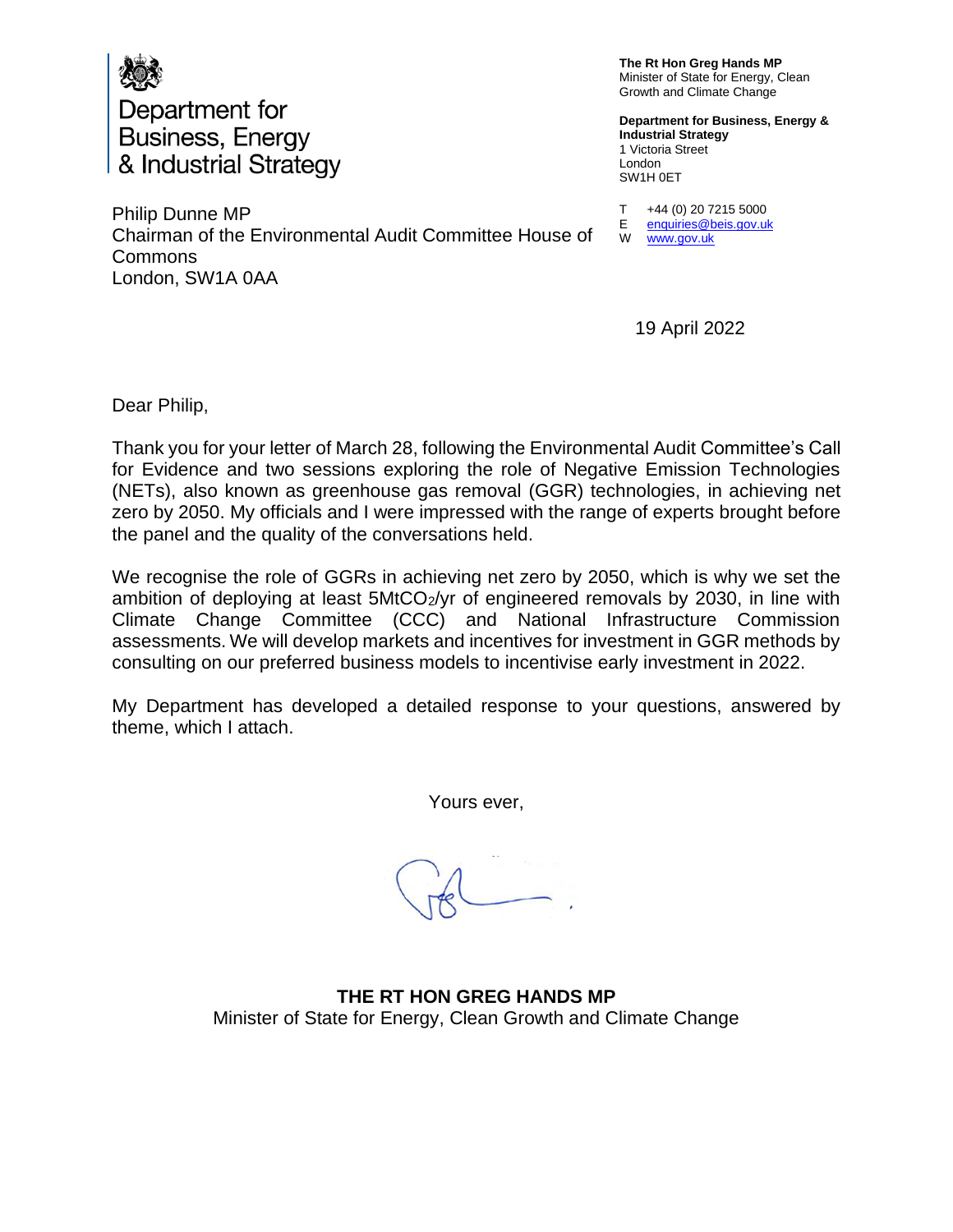

Philip Dunne MP Chairman of the Environmental Audit Committee House of Commons London, SW1A 0AA

**The Rt Hon Greg Hands MP** Minister of State for Energy, Clean Growth and Climate Change

**Department for Business, Energy & Industrial Strategy** 1 Victoria Street London SW1H 0ET

T E +44 (0) 20 7215 5000 [enquiries@beis.gov.uk](mailto:enquiries@beis.gov.uk) 

W [www.gov.uk](http://www.gov.uk/)

19 April 2022

Dear Philip,

Thank you for your letter of March 28, following the Environmental Audit Committee's Call for Evidence and two sessions exploring the role of Negative Emission Technologies (NETs), also known as greenhouse gas removal (GGR) technologies, in achieving net zero by 2050. My officials and I were impressed with the range of experts brought before the panel and the quality of the conversations held.

We recognise the role of GGRs in achieving net zero by 2050, which is why we set the ambition of deploying at least  $5MtCO<sub>2</sub>/yr$  of engineered removals by 2030, in line with Climate Change Committee (CCC) and National Infrastructure Commission assessments. We will develop markets and incentives for investment in GGR methods by consulting on our preferred business models to incentivise early investment in 2022.

My Department has developed a detailed response to your questions, answered by theme, which I attach.

Yours ever,

**THE RT HON GREG HANDS MP** Minister of State for Energy, Clean Growth and Climate Change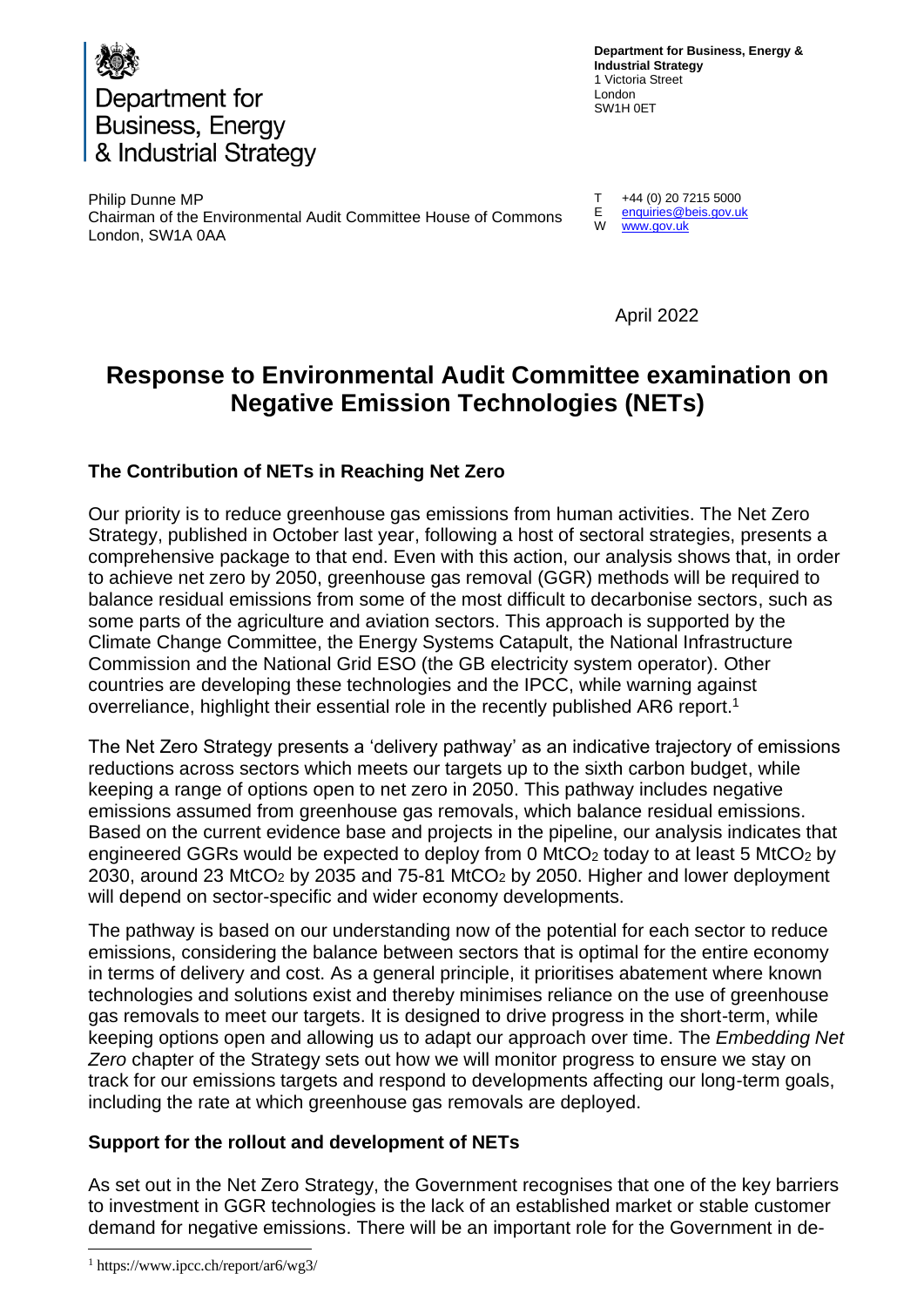

**Department for Business, Energy & Industrial Strategy** 1 Victoria Street London SW1H 0ET

Philip Dunne MP Chairman of the Environmental Audit Committee House of Commons London, SW1A 0AA

T E W +44 (0) 20 7215 5000 [enquiries@beis.gov.uk](mailto:enquiries@beis.gov.uk)  [www.gov.uk](http://www.gov.uk/)

April 2022

# **Response to Environmental Audit Committee examination on Negative Emission Technologies (NETs)**

## **The Contribution of NETs in Reaching Net Zero**

Our priority is to reduce greenhouse gas emissions from human activities. The Net Zero Strategy, published in October last year, following a host of sectoral strategies, presents a comprehensive package to that end. Even with this action, our analysis shows that, in order to achieve net zero by 2050, greenhouse gas removal (GGR) methods will be required to balance residual emissions from some of the most difficult to decarbonise sectors, such as some parts of the agriculture and aviation sectors. This approach is supported by the Climate Change Committee, the Energy Systems Catapult, the National Infrastructure Commission and the National Grid ESO (the GB electricity system operator). Other countries are developing these technologies and the IPCC, while warning against overreliance, highlight their essential role in the recently published AR6 report.<sup>1</sup>

The Net Zero Strategy presents a 'delivery pathway' as an indicative trajectory of emissions reductions across sectors which meets our targets up to the sixth carbon budget, while keeping a range of options open to net zero in 2050. This pathway includes negative emissions assumed from greenhouse gas removals, which balance residual emissions. Based on the current evidence base and projects in the pipeline, our analysis indicates that engineered GGRs would be expected to deploy from 0  $M<sub>1</sub>CO<sub>2</sub>$  today to at least 5  $M<sub>1</sub>CO<sub>2</sub>$  by 2030, around 23 MtCO<sub>2</sub> by 2035 and 75-81 MtCO<sub>2</sub> by 2050. Higher and lower deployment will depend on sector-specific and wider economy developments.

The pathway is based on our understanding now of the potential for each sector to reduce emissions, considering the balance between sectors that is optimal for the entire economy in terms of delivery and cost. As a general principle, it prioritises abatement where known technologies and solutions exist and thereby minimises reliance on the use of greenhouse gas removals to meet our targets. It is designed to drive progress in the short-term, while keeping options open and allowing us to adapt our approach over time. The *Embedding Net Zero* chapter of the Strategy sets out how we will monitor progress to ensure we stay on track for our emissions targets and respond to developments affecting our long-term goals, including the rate at which greenhouse gas removals are deployed.

## **Support for the rollout and development of NETs**

As set out in the Net Zero Strategy, the Government recognises that one of the key barriers to investment in GGR technologies is the lack of an established market or stable customer demand for negative emissions. There will be an important role for the Government in de-

<sup>1</sup> https://www.ipcc.ch/report/ar6/wg3/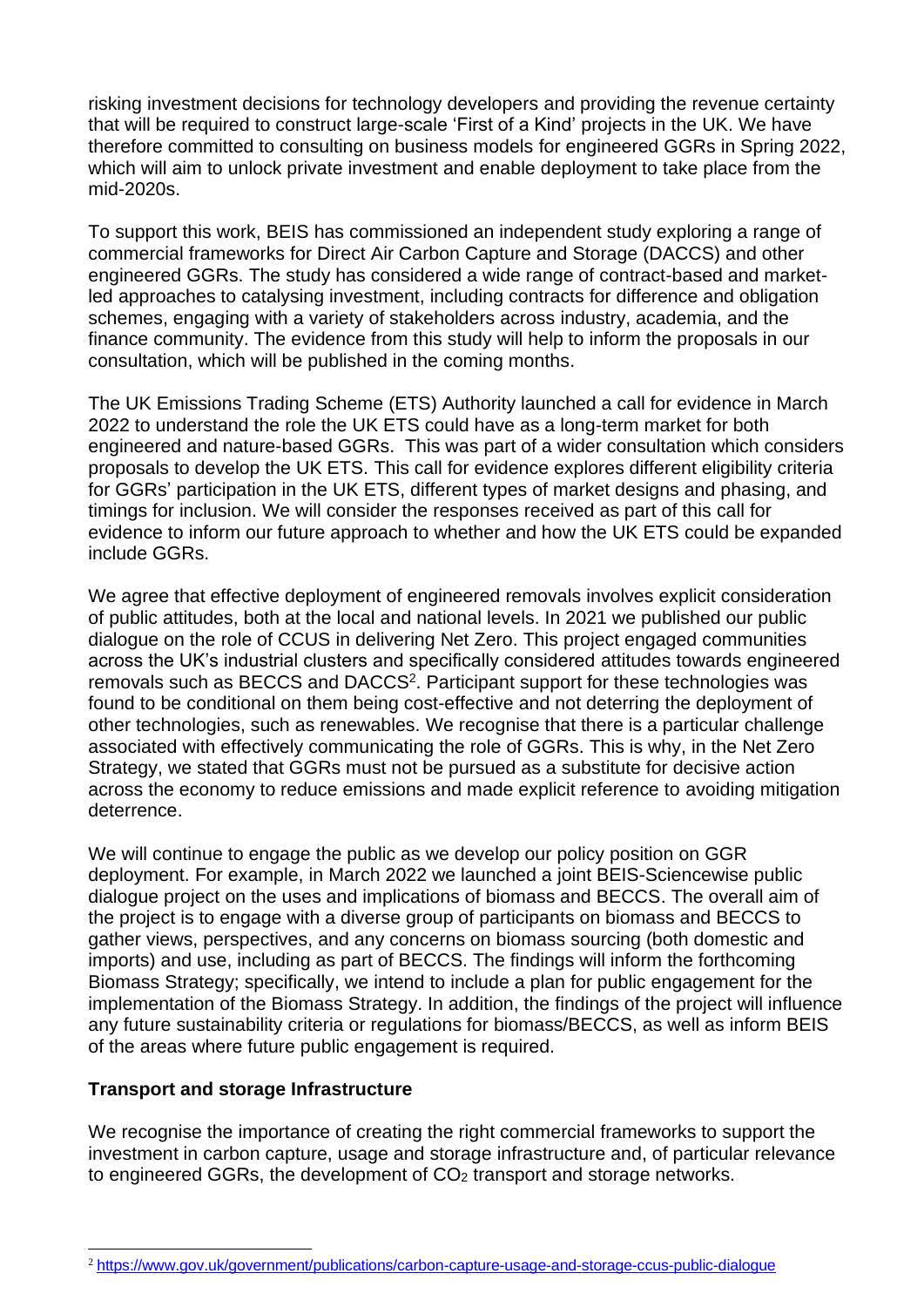risking investment decisions for technology developers and providing the revenue certainty that will be required to construct large-scale 'First of a Kind' projects in the UK. We have therefore committed to consulting on business models for engineered GGRs in Spring 2022, which will aim to unlock private investment and enable deployment to take place from the mid-2020s.

To support this work, BEIS has commissioned an independent study exploring a range of commercial frameworks for Direct Air Carbon Capture and Storage (DACCS) and other engineered GGRs. The study has considered a wide range of contract-based and marketled approaches to catalysing investment, including contracts for difference and obligation schemes, engaging with a variety of stakeholders across industry, academia, and the finance community. The evidence from this study will help to inform the proposals in our consultation, which will be published in the coming months.

The UK Emissions Trading Scheme (ETS) Authority launched a call for evidence in March 2022 to understand the role the UK ETS could have as a long-term market for both engineered and nature-based GGRs. This was part of a wider consultation which considers proposals to develop the UK ETS. This call for evidence explores different eligibility criteria for GGRs' participation in the UK ETS, different types of market designs and phasing, and timings for inclusion. We will consider the responses received as part of this call for evidence to inform our future approach to whether and how the UK ETS could be expanded include GGRs.

We agree that effective deployment of engineered removals involves explicit consideration of public attitudes, both at the local and national levels. In 2021 we published our public dialogue on the role of CCUS in delivering Net Zero. This project engaged communities across the UK's industrial clusters and specifically considered attitudes towards engineered removals such as BECCS and DACCS<sup>2</sup>. Participant support for these technologies was found to be conditional on them being cost-effective and not deterring the deployment of other technologies, such as renewables. We recognise that there is a particular challenge associated with effectively communicating the role of GGRs. This is why, in the Net Zero Strategy, we stated that GGRs must not be pursued as a substitute for decisive action across the economy to reduce emissions and made explicit reference to avoiding mitigation deterrence.

We will continue to engage the public as we develop our policy position on GGR deployment. For example, in March 2022 we launched a joint BEIS-Sciencewise public dialogue project on the uses and implications of biomass and BECCS. The overall aim of the project is to engage with a diverse group of participants on biomass and BECCS to gather views, perspectives, and any concerns on biomass sourcing (both domestic and imports) and use, including as part of BECCS. The findings will inform the forthcoming Biomass Strategy; specifically, we intend to include a plan for public engagement for the implementation of the Biomass Strategy. In addition, the findings of the project will influence any future sustainability criteria or regulations for biomass/BECCS, as well as inform BEIS of the areas where future public engagement is required.

#### **Transport and storage Infrastructure**

We recognise the importance of creating the right commercial frameworks to support the investment in carbon capture, usage and storage infrastructure and, of particular relevance to engineered GGRs, the development of CO<sub>2</sub> transport and storage networks.

<sup>2</sup> <https://www.gov.uk/government/publications/carbon-capture-usage-and-storage-ccus-public-dialogue>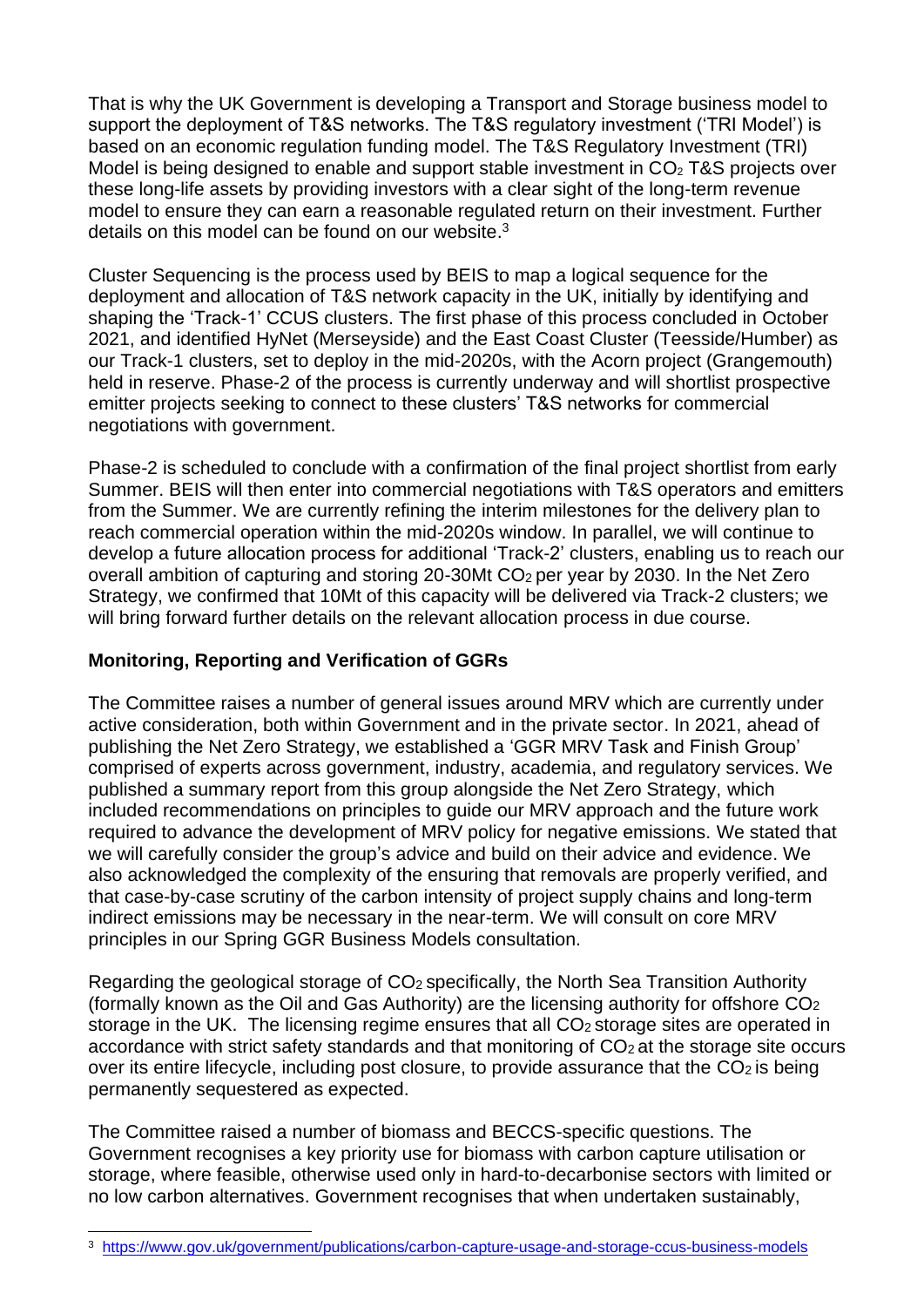That is why the UK Government is developing a Transport and Storage business model to support the deployment of T&S networks. The T&S regulatory investment ('TRI Model') is based on an economic regulation funding model. The T&S Regulatory Investment (TRI) Model is being designed to enable and support stable investment in  $CO<sub>2</sub>$  T&S projects over these long-life assets by providing investors with a clear sight of the long-term revenue model to ensure they can earn a reasonable regulated return on their investment. Further details on this model can be found on our website.<sup>3</sup>

Cluster Sequencing is the process used by BEIS to map a logical sequence for the deployment and allocation of T&S network capacity in the UK, initially by identifying and shaping the 'Track-1' CCUS clusters. The first phase of this process concluded in October 2021, and identified HyNet (Merseyside) and the East Coast Cluster (Teesside/Humber) as our Track-1 clusters, set to deploy in the mid-2020s, with the Acorn project (Grangemouth) held in reserve. Phase-2 of the process is currently underway and will shortlist prospective emitter projects seeking to connect to these clusters' T&S networks for commercial negotiations with government.

Phase-2 is scheduled to conclude with a confirmation of the final project shortlist from early Summer. BEIS will then enter into commercial negotiations with T&S operators and emitters from the Summer. We are currently refining the interim milestones for the delivery plan to reach commercial operation within the mid-2020s window. In parallel, we will continue to develop a future allocation process for additional 'Track-2' clusters, enabling us to reach our overall ambition of capturing and storing 20-30Mt  $CO<sub>2</sub>$  per year by 2030. In the Net Zero Strategy, we confirmed that 10Mt of this capacity will be delivered via Track-2 clusters; we will bring forward further details on the relevant allocation process in due course.

## **Monitoring, Reporting and Verification of GGRs**

The Committee raises a number of general issues around MRV which are currently under active consideration, both within Government and in the private sector. In 2021, ahead of publishing the Net Zero Strategy, we established a 'GGR MRV Task and Finish Group' comprised of experts across government, industry, academia, and regulatory services. We published a summary report from this group alongside the Net Zero Strategy, which included recommendations on principles to guide our MRV approach and the future work required to advance the development of MRV policy for negative emissions. We stated that we will carefully consider the group's advice and build on their advice and evidence. We also acknowledged the complexity of the ensuring that removals are properly verified, and that case-by-case scrutiny of the carbon intensity of project supply chains and long-term indirect emissions may be necessary in the near-term. We will consult on core MRV principles in our Spring GGR Business Models consultation.

Regarding the geological storage of CO<sup>2</sup> specifically, the North Sea Transition Authority (formally known as the Oil and Gas Authority) are the licensing authority for offshore CO<sup>2</sup> storage in the UK. The licensing regime ensures that all  $CO<sub>2</sub>$  storage sites are operated in accordance with strict safety standards and that monitoring of  $CO<sub>2</sub>$  at the storage site occurs over its entire lifecycle, including post closure, to provide assurance that the  $CO<sub>2</sub>$  is being permanently sequestered as expected.

The Committee raised a number of biomass and BECCS-specific questions. The Government recognises a key priority use for biomass with carbon capture utilisation or storage, where feasible, otherwise used only in hard-to-decarbonise sectors with limited or no low carbon alternatives. Government recognises that when undertaken sustainably,

<sup>3</sup> <https://www.gov.uk/government/publications/carbon-capture-usage-and-storage-ccus-business-models>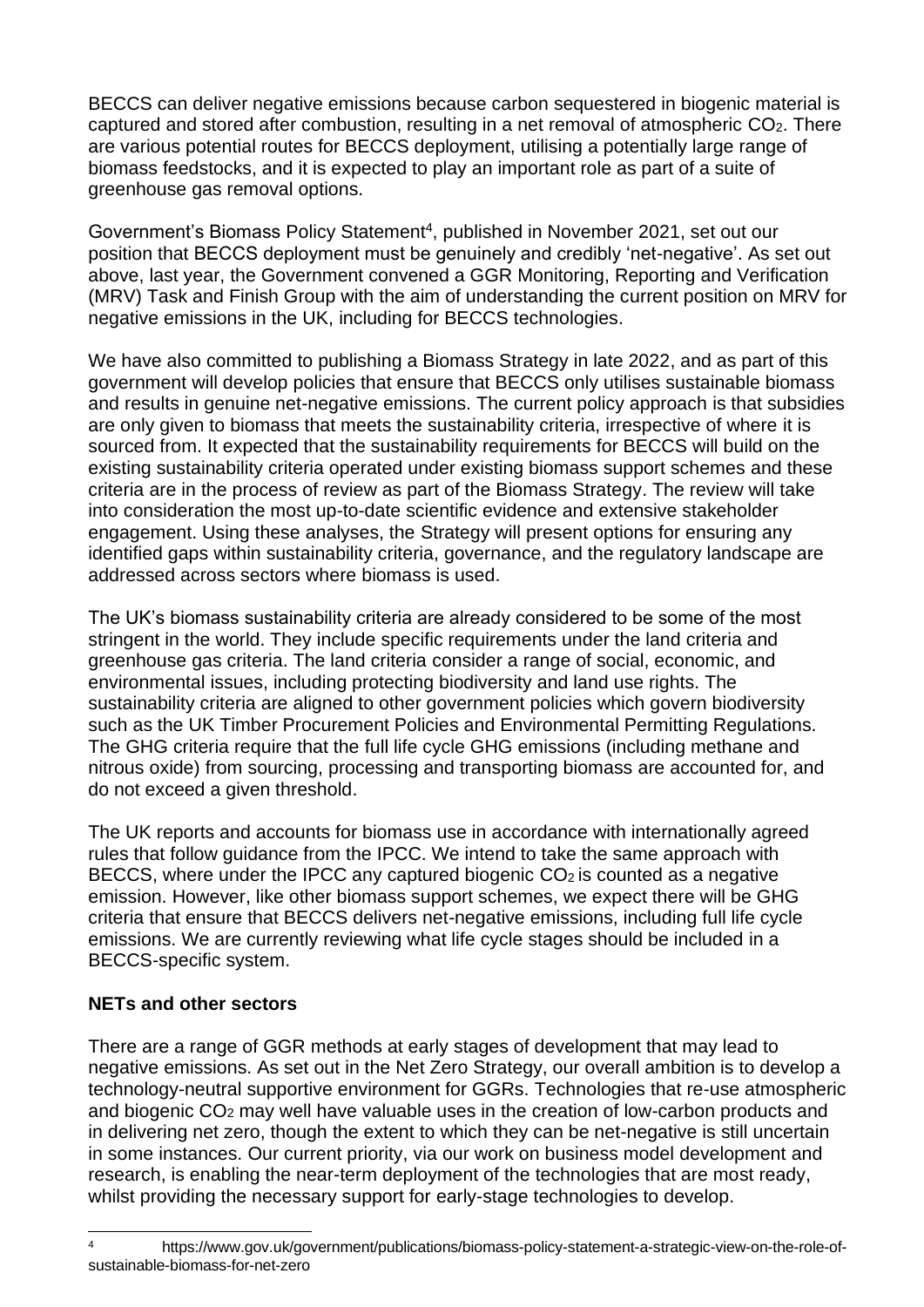BECCS can deliver negative emissions because carbon sequestered in biogenic material is captured and stored after combustion, resulting in a net removal of atmospheric CO2. There are various potential routes for BECCS deployment, utilising a potentially large range of biomass feedstocks, and it is expected to play an important role as part of a suite of greenhouse gas removal options.

Government's Biomass Policy Statement<sup>4</sup>, published in November 2021, set out our position that BECCS deployment must be genuinely and credibly 'net-negative'. As set out above, last year, the Government convened a GGR Monitoring, Reporting and Verification (MRV) Task and Finish Group with the aim of understanding the current position on MRV for negative emissions in the UK, including for BECCS technologies.

We have also committed to publishing a Biomass Strategy in late 2022, and as part of this government will develop policies that ensure that BECCS only utilises sustainable biomass and results in genuine net-negative emissions. The current policy approach is that subsidies are only given to biomass that meets the sustainability criteria, irrespective of where it is sourced from. It expected that the sustainability requirements for BECCS will build on the existing sustainability criteria operated under existing biomass support schemes and these criteria are in the process of review as part of the Biomass Strategy. The review will take into consideration the most up-to-date scientific evidence and extensive stakeholder engagement. Using these analyses, the Strategy will present options for ensuring any identified gaps within sustainability criteria, governance, and the regulatory landscape are addressed across sectors where biomass is used.

The UK's biomass sustainability criteria are already considered to be some of the most stringent in the world. They include specific requirements under the land criteria and greenhouse gas criteria. The land criteria consider a range of social, economic, and environmental issues, including protecting biodiversity and land use rights. The sustainability criteria are aligned to other government policies which govern biodiversity such as the UK Timber Procurement Policies and Environmental Permitting Regulations. The GHG criteria require that the full life cycle GHG emissions (including methane and nitrous oxide) from sourcing, processing and transporting biomass are accounted for, and do not exceed a given threshold.

The UK reports and accounts for biomass use in accordance with internationally agreed rules that follow guidance from the IPCC. We intend to take the same approach with BECCS, where under the IPCC any captured biogenic  $CO<sub>2</sub>$  is counted as a negative emission. However, like other biomass support schemes, we expect there will be GHG criteria that ensure that BECCS delivers net-negative emissions, including full life cycle emissions. We are currently reviewing what life cycle stages should be included in a BECCS-specific system.

## **NETs and other sectors**

There are a range of GGR methods at early stages of development that may lead to negative emissions. As set out in the Net Zero Strategy, our overall ambition is to develop a technology-neutral supportive environment for GGRs. Technologies that re-use atmospheric and biogenic CO<sup>2</sup> may well have valuable uses in the creation of low-carbon products and in delivering net zero, though the extent to which they can be net-negative is still uncertain in some instances. Our current priority, via our work on business model development and research, is enabling the near-term deployment of the technologies that are most ready, whilst providing the necessary support for early-stage technologies to develop.

<sup>4</sup> https://www.gov.uk/government/publications/biomass-policy-statement-a-strategic-view-on-the-role-ofsustainable-biomass-for-net-zero